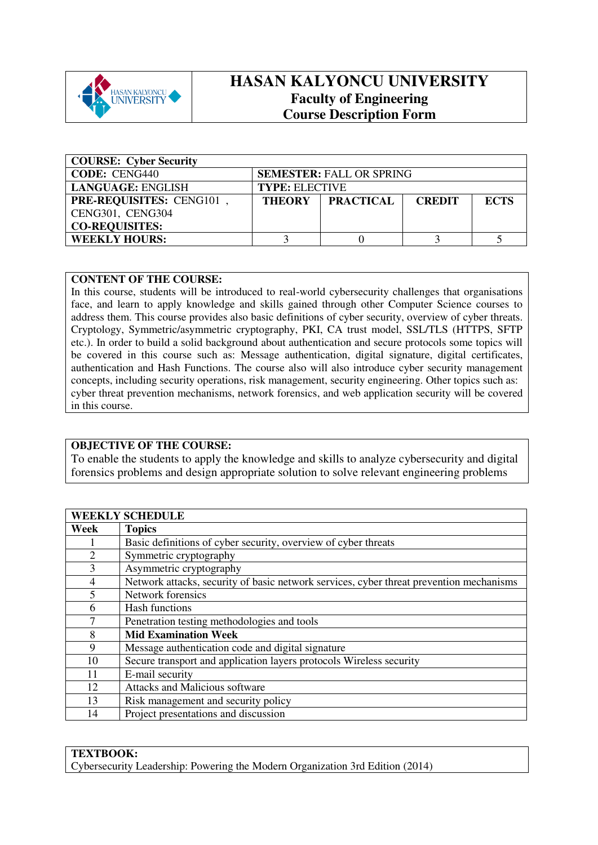

# **HASAN KALYONCU UNIVERSITY Faculty of Engineering Course Description Form**

| <b>COURSE: Cyber Security</b>                           |                       |                  |               |             |  |  |
|---------------------------------------------------------|-----------------------|------------------|---------------|-------------|--|--|
| <b>CODE: CENG440</b><br><b>SEMESTER: FALL OR SPRING</b> |                       |                  |               |             |  |  |
| <b>LANGUAGE: ENGLISH</b>                                | <b>TYPE: ELECTIVE</b> |                  |               |             |  |  |
| <b>PRE-REQUISITES: CENG101</b>                          | <b>THEORY</b>         | <b>PRACTICAL</b> | <b>CREDIT</b> | <b>ECTS</b> |  |  |
| CENG301, CENG304                                        |                       |                  |               |             |  |  |
| <b>CO-REQUISITES:</b>                                   |                       |                  |               |             |  |  |
| <b>WEEKLY HOURS:</b>                                    |                       |                  |               |             |  |  |

#### **CONTENT OF THE COURSE:**

In this course, students will be introduced to real-world cybersecurity challenges that organisations face, and learn to apply knowledge and skills gained through other Computer Science courses to address them. This course provides also basic definitions of cyber security, overview of cyber threats. Cryptology, Symmetric/asymmetric cryptography, PKI, CA trust model, SSL/TLS (HTTPS, SFTP etc.). In order to build a solid background about authentication and secure protocols some topics will be covered in this course such as: Message authentication, digital signature, digital certificates, authentication and Hash Functions. The course also will also introduce cyber security management concepts, including security operations, risk management, security engineering. Other topics such as: cyber threat prevention mechanisms, network forensics, and web application security will be covered in this course.

### **OBJECTIVE OF THE COURSE:**

To enable the students to apply the knowledge and skills to analyze cybersecurity and digital forensics problems and design appropriate solution to solve relevant engineering problems

|                | <b>WEEKLY SCHEDULE</b>                                                                  |
|----------------|-----------------------------------------------------------------------------------------|
| Week           | <b>Topics</b>                                                                           |
|                | Basic definitions of cyber security, overview of cyber threats                          |
| $\overline{2}$ | Symmetric cryptography                                                                  |
| 3              | Asymmetric cryptography                                                                 |
| 4              | Network attacks, security of basic network services, cyber threat prevention mechanisms |
| $\overline{5}$ | Network forensics                                                                       |
| 6              | Hash functions                                                                          |
| 7              | Penetration testing methodologies and tools                                             |
| 8              | <b>Mid Examination Week</b>                                                             |
| 9              | Message authentication code and digital signature                                       |
| 10             | Secure transport and application layers protocols Wireless security                     |
| 11             | E-mail security                                                                         |
| 12             | <b>Attacks and Malicious software</b>                                                   |
| 13             | Risk management and security policy                                                     |
| 14             | Project presentations and discussion                                                    |

### **TEXTBOOK:**

Cybersecurity Leadership: Powering the Modern Organization 3rd Edition (2014)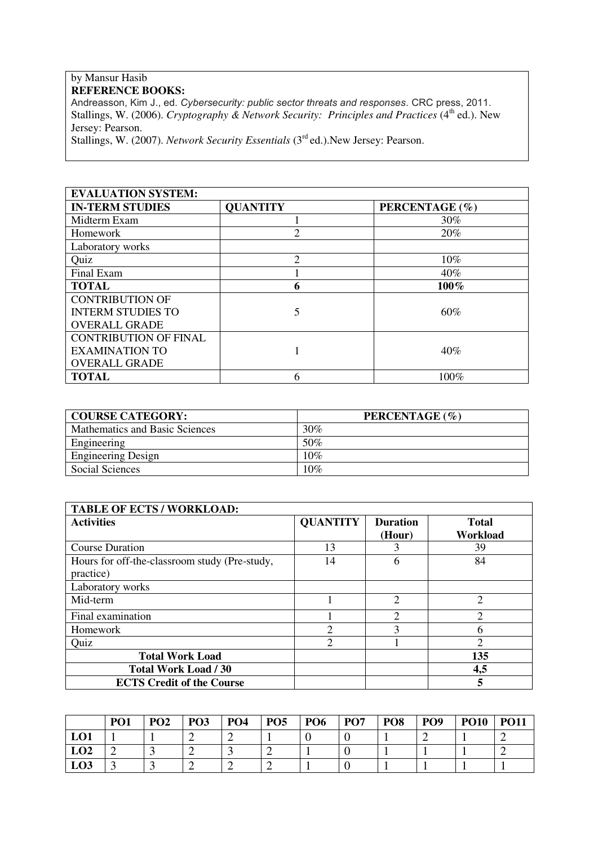## by Mansur Hasib **REFERENCE BOOKS:**

Andreasson, Kim J., ed. *Cybersecurity: public sector threats and responses*. CRC press, 2011. Stallings, W. (2006). *Cryptography & Network Security: Principles and Practices* (4<sup>th</sup> ed.). New Jersey: Pearson.

Stallings, W. (2007). *Network Security Essentials* (3rd ed.).New Jersey: Pearson.

| <b>EVALUATION SYSTEM:</b>    |                 |                |  |  |  |  |  |  |
|------------------------------|-----------------|----------------|--|--|--|--|--|--|
| <b>IN-TERM STUDIES</b>       | <b>QUANTITY</b> | PERCENTAGE (%) |  |  |  |  |  |  |
| Midterm Exam                 |                 | $30\%$         |  |  |  |  |  |  |
| Homework                     |                 | 20%            |  |  |  |  |  |  |
| Laboratory works             |                 |                |  |  |  |  |  |  |
| Quiz                         | $\mathfrak{D}$  | $10\%$         |  |  |  |  |  |  |
| Final Exam                   |                 | 40%            |  |  |  |  |  |  |
| <b>TOTAL</b>                 | 6               | 100%           |  |  |  |  |  |  |
| <b>CONTRIBUTION OF</b>       |                 |                |  |  |  |  |  |  |
| <b>INTERM STUDIES TO</b>     |                 | 60%            |  |  |  |  |  |  |
| <b>OVERALL GRADE</b>         |                 |                |  |  |  |  |  |  |
| <b>CONTRIBUTION OF FINAL</b> |                 |                |  |  |  |  |  |  |
| <b>EXAMINATION TO</b>        |                 | 40%            |  |  |  |  |  |  |
| <b>OVERALL GRADE</b>         |                 |                |  |  |  |  |  |  |
| <b>TOTAL</b>                 | 6               | 100%           |  |  |  |  |  |  |

| <b>COURSE CATEGORY:</b>        | PERCENTAGE (%) |
|--------------------------------|----------------|
| Mathematics and Basic Sciences | 30%            |
| Engineering                    | 50%            |
| <b>Engineering Design</b>      | 10%            |
| Social Sciences                | 10%            |

| <b>TABLE OF ECTS / WORKLOAD:</b>                           |                 |                           |                             |  |  |  |  |  |  |
|------------------------------------------------------------|-----------------|---------------------------|-----------------------------|--|--|--|--|--|--|
| <b>Activities</b>                                          | <b>QUANTITY</b> | <b>Duration</b><br>(Hour) | Total<br>Workload           |  |  |  |  |  |  |
| <b>Course Duration</b>                                     | 13              | 3                         | 39                          |  |  |  |  |  |  |
| Hours for off-the-classroom study (Pre-study,<br>practice) | 14              | h                         | 84                          |  |  |  |  |  |  |
| Laboratory works                                           |                 |                           |                             |  |  |  |  |  |  |
| Mid-term                                                   |                 | $\overline{2}$            | $\overline{2}$              |  |  |  |  |  |  |
| Final examination                                          |                 | $\mathcal{D}$             | $\mathcal{D}_{\mathcal{A}}$ |  |  |  |  |  |  |
| Homework                                                   | $\mathfrak{D}$  | $\mathbf{3}$              | 6                           |  |  |  |  |  |  |
| Quiz                                                       | 2               |                           | 2                           |  |  |  |  |  |  |
| <b>Total Work Load</b>                                     |                 |                           | 135                         |  |  |  |  |  |  |
| <b>Total Work Load / 30</b>                                |                 |                           | 4,5                         |  |  |  |  |  |  |
| <b>ECTS Credit of the Course</b>                           |                 |                           | 5                           |  |  |  |  |  |  |

|                 | PO <sub>1</sub> | PO <sub>2</sub> | PO <sub>3</sub> | PO <sub>4</sub> | PO <sub>5</sub> | PO <sub>6</sub> | PO <sub>7</sub> | PO <sub>8</sub> | PO <sub>9</sub> | <b>PO10</b> | <b>PO11</b> |
|-----------------|-----------------|-----------------|-----------------|-----------------|-----------------|-----------------|-----------------|-----------------|-----------------|-------------|-------------|
| LO <sub>1</sub> |                 |                 | <u>_</u>        | ∽               |                 |                 |                 |                 |                 |             |             |
| LO <sub>2</sub> |                 |                 | -               | <b>~</b>        | ∼               |                 |                 |                 |                 |             |             |
| LO <sub>3</sub> |                 |                 | ∼               | ∽               | ∼               |                 |                 |                 |                 |             |             |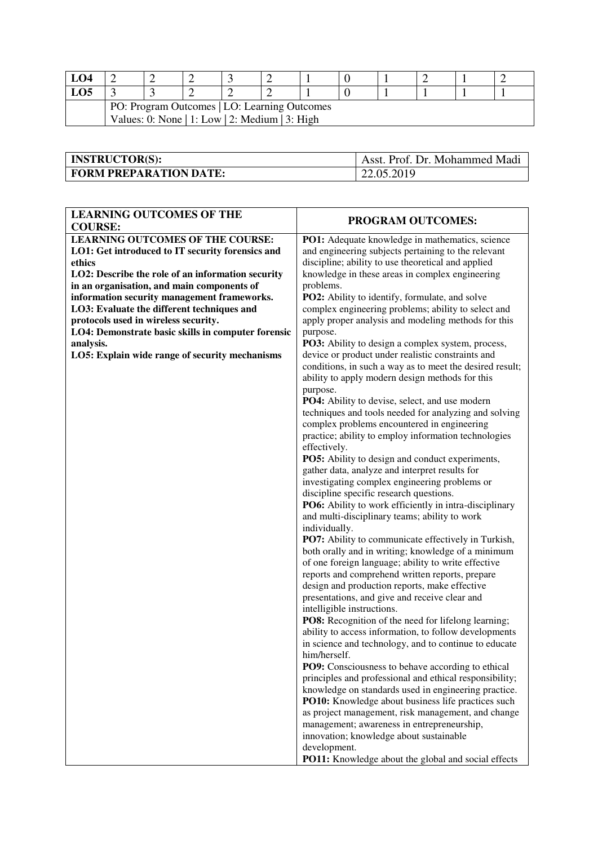| LO4                                            |                                              |  |  |  |  |  |  |  |  |  |  |
|------------------------------------------------|----------------------------------------------|--|--|--|--|--|--|--|--|--|--|
| LO5                                            |                                              |  |  |  |  |  |  |  |  |  |  |
|                                                | PO: Program Outcomes   LO: Learning Outcomes |  |  |  |  |  |  |  |  |  |  |
| Values: 0: None   1: Low   2: Medium   3: High |                                              |  |  |  |  |  |  |  |  |  |  |

| <b>INSTRUCTOR(S):</b>         | Asst. Prof. Dr. Mohammed Madi |
|-------------------------------|-------------------------------|
| <b>FORM PREPARATION DATE:</b> | 22.05.2019                    |

| <b>LEARNING OUTCOMES OF THE</b>                    |                                                                                                         |
|----------------------------------------------------|---------------------------------------------------------------------------------------------------------|
| <b>COURSE:</b>                                     | <b>PROGRAM OUTCOMES:</b>                                                                                |
| <b>LEARNING OUTCOMES OF THE COURSE:</b>            | PO1: Adequate knowledge in mathematics, science                                                         |
| LO1: Get introduced to IT security forensics and   | and engineering subjects pertaining to the relevant                                                     |
| ethics                                             | discipline; ability to use theoretical and applied                                                      |
| LO2: Describe the role of an information security  | knowledge in these areas in complex engineering                                                         |
| in an organisation, and main components of         | problems.                                                                                               |
| information security management frameworks.        | PO2: Ability to identify, formulate, and solve                                                          |
| LO3: Evaluate the different techniques and         | complex engineering problems; ability to select and                                                     |
| protocols used in wireless security.               | apply proper analysis and modeling methods for this                                                     |
| LO4: Demonstrate basic skills in computer forensic | purpose.                                                                                                |
| analysis.                                          | PO3: Ability to design a complex system, process,                                                       |
| LO5: Explain wide range of security mechanisms     | device or product under realistic constraints and                                                       |
|                                                    | conditions, in such a way as to meet the desired result;                                                |
|                                                    | ability to apply modern design methods for this                                                         |
|                                                    | purpose.                                                                                                |
|                                                    | <b>PO4:</b> Ability to devise, select, and use modern                                                   |
|                                                    | techniques and tools needed for analyzing and solving                                                   |
|                                                    | complex problems encountered in engineering                                                             |
|                                                    | practice; ability to employ information technologies                                                    |
|                                                    | effectively.                                                                                            |
|                                                    | PO5: Ability to design and conduct experiments,                                                         |
|                                                    | gather data, analyze and interpret results for                                                          |
|                                                    | investigating complex engineering problems or                                                           |
|                                                    | discipline specific research questions.                                                                 |
|                                                    | PO6: Ability to work efficiently in intra-disciplinary<br>and multi-disciplinary teams; ability to work |
|                                                    | individually.                                                                                           |
|                                                    | PO7: Ability to communicate effectively in Turkish,                                                     |
|                                                    | both orally and in writing; knowledge of a minimum                                                      |
|                                                    | of one foreign language; ability to write effective                                                     |
|                                                    | reports and comprehend written reports, prepare                                                         |
|                                                    | design and production reports, make effective                                                           |
|                                                    | presentations, and give and receive clear and                                                           |
|                                                    | intelligible instructions.                                                                              |
|                                                    | PO8: Recognition of the need for lifelong learning;                                                     |
|                                                    | ability to access information, to follow developments                                                   |
|                                                    | in science and technology, and to continue to educate                                                   |
|                                                    | him/herself.                                                                                            |
|                                                    | <b>PO9:</b> Consciousness to behave according to ethical                                                |
|                                                    | principles and professional and ethical responsibility;                                                 |
|                                                    | knowledge on standards used in engineering practice.                                                    |
|                                                    | PO10: Knowledge about business life practices such                                                      |
|                                                    | as project management, risk management, and change                                                      |
|                                                    | management; awareness in entrepreneurship,                                                              |
|                                                    | innovation; knowledge about sustainable                                                                 |
|                                                    | development.<br>PO11: Knowledge about the global and social effects                                     |
|                                                    |                                                                                                         |